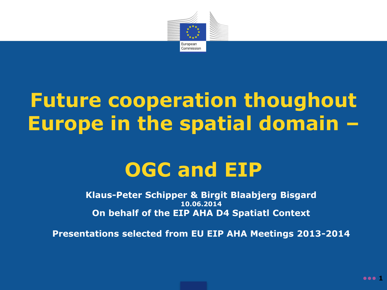

# **Future cooperation thoughout Europe in the spatial domain –**

# **OGC and EIP**

**Klaus-Peter Schipper & Birgit Blaabjerg Bisgard 10.06.2014 On behalf of the EIP AHA D4 Spatiatl Context**

**Presentations selected from EU EIP AHA Meetings 2013-2014**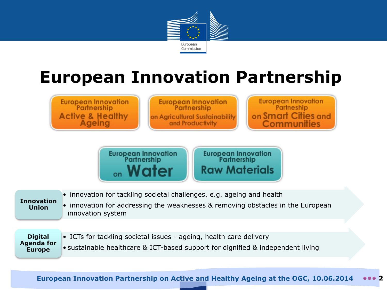

# **European Innovation Partnership**

**European Innovation** Partnership **Active & Healthy** Ageing

**European Innovation** Partnership on Agricultural Sustainability and Productivity

**European Innovation** Partneship on Smart Cities and Communities

European Innovation<br>Partnership <sub>on</sub> Water

European Innovation<br>Partnership **Raw Materials** 

#### **Innovation Union**

• innovation for addressing the weaknesses & removing obstacles in the European innovation system

**Digital Agenda for Europe**

• ICTs for tackling societal issues - ageing, health care delivery

• innovation for tackling societal challenges, e.g. ageing and health

• sustainable healthcare & ICT-based support for dignified & independent living

**European Innovation Partnership on Active and Healthy Ageing at the OGC, 10.06.2014 ••• 2**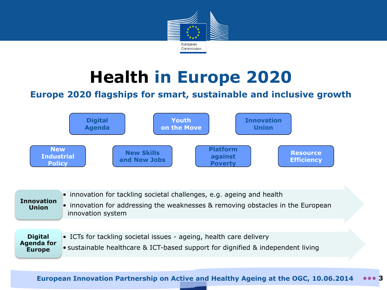

# **Health in Europe 2020**

#### **Europe 2020 flagships for smart, sustainable and inclusive growth**



| <b>Innovation</b><br><b>Union</b>                    | • innovation for tackling societal challenges, e.g. ageing and health<br>• innovation for addressing the weaknesses & removing obstacles in the European<br>innovation system |
|------------------------------------------------------|-------------------------------------------------------------------------------------------------------------------------------------------------------------------------------|
|                                                      |                                                                                                                                                                               |
| <b>Digital</b><br><b>Agenda for</b><br><b>Europe</b> | • ICTs for tackling societal issues - ageing, health care delivery                                                                                                            |
|                                                      | • sustainable healthcare & ICT-based support for dignified & independent living                                                                                               |

**European Innovation Partnership on Active and Healthy Ageing at the OGC, 10.06.2014 ••• 3**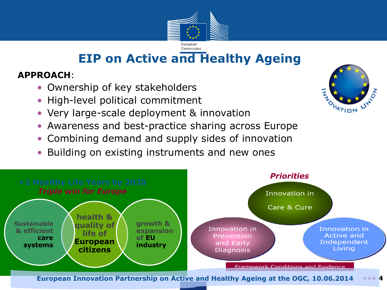

### **EIP on Active and Healthy Ageing**

#### **APPROACH**:

- Ownership of key stakeholders
- High-level political commitment
- Very large-scale deployment & innovation
- Awareness and best-practice sharing across Europe
- Combining demand and supply sides of innovation
- Building on existing instruments and new ones



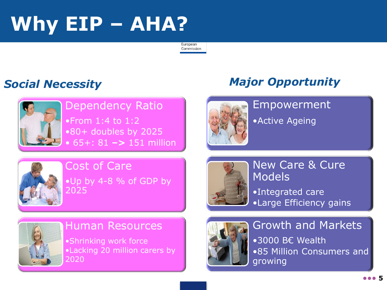# **Why EIP – AHA?**

European Commission



Dependency Ratio •From 1:4 to 1:2 •80+ doubles by 2025 • 65+: 81 **–>** 151 million

#### *Social Necessity Major Opportunity*



#### Empowerment

•Active Ageing



#### Cost of Care •Up by 4-8 % of GDP by 2025



#### New Care & Cure **Models** •Integrated care

•Large Efficiency gains



#### Human Resources

•Shrinking work force •Lacking 20 million carers by 2020



Growth and Markets •3000 B€ Wealth •85 Million Consumers and growing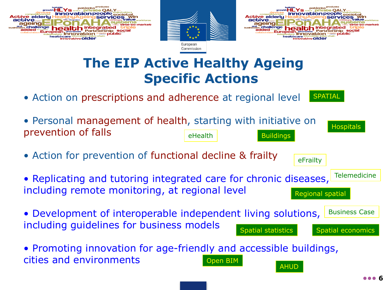





## **The EIP Active Healthy Ageing Specific Actions**

Commission

• Action on prescriptions and adherence at regional level **SPATIAL**